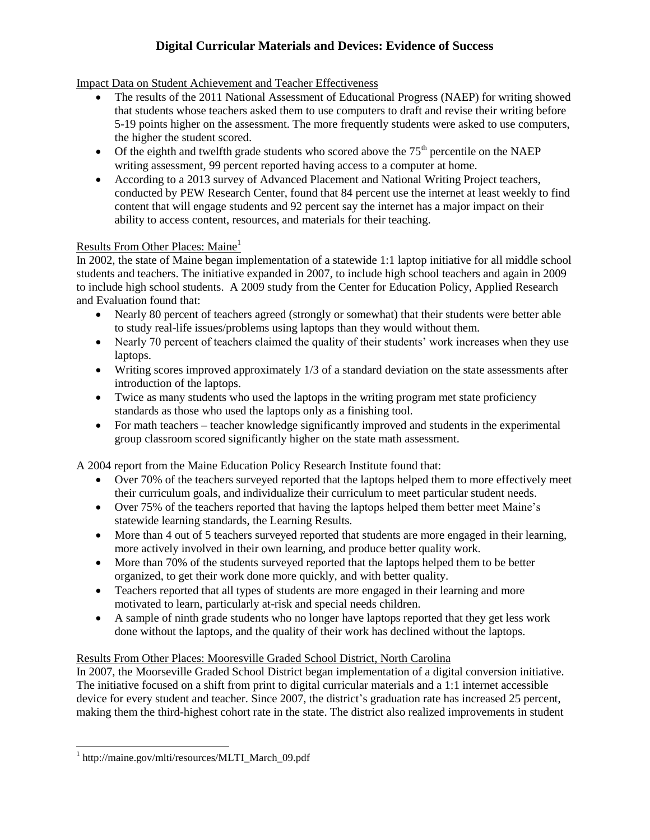# **Digital Curricular Materials and Devices: Evidence of Success**

#### Impact Data on Student Achievement and Teacher Effectiveness

- The results of the 2011 National Assessment of Educational Progress (NAEP) for writing showed that students whose teachers asked them to use computers to draft and revise their writing before 5-19 points higher on the assessment. The more frequently students were asked to use computers, the higher the student scored.
- $\bullet$  Of the eighth and twelfth grade students who scored above the 75<sup>th</sup> percentile on the NAEP writing assessment, 99 percent reported having access to a computer at home.
- According to a 2013 survey of Advanced Placement and National Writing Project teachers, conducted by PEW Research Center, found that 84 percent use the internet at least weekly to find content that will engage students and 92 percent say the internet has a major impact on their ability to access content, resources, and materials for their teaching.

#### Results From Other Places: Maine<sup>1</sup>

In 2002, the state of Maine began implementation of a statewide 1:1 laptop initiative for all middle school students and teachers. The initiative expanded in 2007, to include high school teachers and again in 2009 to include high school students. A 2009 study from the Center for Education Policy, Applied Research and Evaluation found that:

- Nearly 80 percent of teachers agreed (strongly or somewhat) that their students were better able to study real-life issues/problems using laptops than they would without them.
- Nearly 70 percent of teachers claimed the quality of their students' work increases when they use laptops.
- Writing scores improved approximately 1/3 of a standard deviation on the state assessments after introduction of the laptops.
- Twice as many students who used the laptops in the writing program met state proficiency standards as those who used the laptops only as a finishing tool.
- For math teachers teacher knowledge significantly improved and students in the experimental group classroom scored significantly higher on the state math assessment.

A 2004 report from the Maine Education Policy Research Institute found that:

- Over 70% of the teachers surveyed reported that the laptops helped them to more effectively meet their curriculum goals, and individualize their curriculum to meet particular student needs.
- Over 75% of the teachers reported that having the laptops helped them better meet Maine's statewide learning standards, the Learning Results.
- More than 4 out of 5 teachers surveyed reported that students are more engaged in their learning, more actively involved in their own learning, and produce better quality work.
- More than 70% of the students surveyed reported that the laptops helped them to be better organized, to get their work done more quickly, and with better quality.
- Teachers reported that all types of students are more engaged in their learning and more motivated to learn, particularly at-risk and special needs children.
- A sample of ninth grade students who no longer have laptops reported that they get less work done without the laptops, and the quality of their work has declined without the laptops.

### Results From Other Places: Mooresville Graded School District, North Carolina

In 2007, the Moorseville Graded School District began implementation of a digital conversion initiative. The initiative focused on a shift from print to digital curricular materials and a 1:1 internet accessible device for every student and teacher. Since 2007, the district's graduation rate has increased 25 percent, making them the third-highest cohort rate in the state. The district also realized improvements in student

l

<sup>1</sup> http://maine.gov/mlti/resources/MLTI\_March\_09.pdf